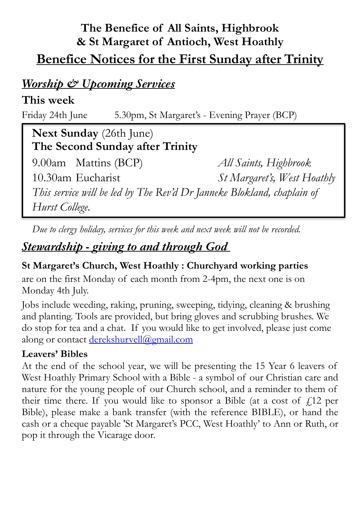# **The Benefice of All Saints, Highbrook & St Margaret of Antioch, West Hoathly Benefice Notices for the First Sunday after Trinity**

### *Worship & Upcoming Services*

### **This week**

Friday 24th June 5.30pm, St Margaret's - Evening Prayer (BCP)

 **Next Sunday** (26th June)  **The Second Sunday after Trinity** 

9.00am Mattins (BCP) *All Saints, Highbrook*  10.30am Eucharist *St Margaret's, West Hoathly This service will be led by The Rev'd Dr Janneke Blokland, chaplain of Hurst College.* 

*Due to clergy holiday, services for this week and next week will not be recorded.*

# *Stewardship - giving to and through God*

#### **St Margaret's Church, West Hoathly : Churchyard working parties**

are on the first Monday of each month from 2-4pm, the next one is on Monday 4th July.

Jobs include weeding, raking, pruning, sweeping, tidying, cleaning & brushing and planting. Tools are provided, but bring gloves and scrubbing brushes. We do stop for tea and a chat. If you would like to get involved, please just come along or contact [derekshurvell@gmail.com](mailto:derekshurvell@gmail.com)

#### **Leavers' Bibles**

At the end of the school year, we will be presenting the 15 Year 6 leavers of West Hoathly Primary School with a Bible - a symbol of our Christian care and nature for the young people of our Church school, and a reminder to them of their time there. If you would like to sponsor a Bible (at a cost of  $f(12)$  per Bible), please make a bank transfer (with the reference BIBLE), or hand the cash or a cheque payable 'St Margaret's PCC, West Hoathly' to Ann or Ruth, or pop it through the Vicarage door.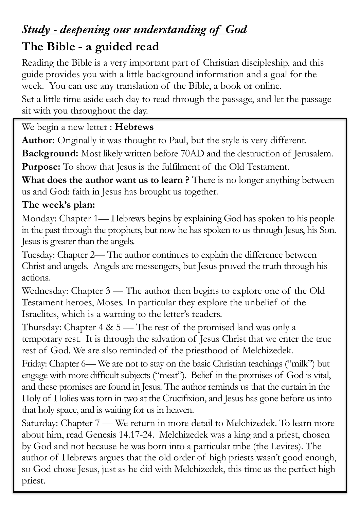# *Study - deepening our understanding of God*  **The Bible - a guided read**

#### Reading the Bible is a very important part of Christian discipleship, and this guide provides you with a little background information and a goal for the week. You can use any translation of the Bible, a book or online.

Set a little time aside each day to read through the passage, and let the passage sit with you throughout the day.

### We begin a new letter : **Hebrews**

**Author:** Originally it was thought to Paul, but the style is very different.

**Background:** Most likely written before 70AD and the destruction of Jerusalem. **Purpose:** To show that Jesus is the fulfilment of the Old Testament.

**What does the author want us to learn ?** There is no longer anything between us and God: faith in Jesus has brought us together.

### **The week's plan:**

Monday: Chapter 1— Hebrews begins by explaining God has spoken to his people in the past through the prophets, but now he has spoken to us through Jesus, his Son. Jesus is greater than the angels.

Tuesday: Chapter 2— The author continues to explain the difference between Christ and angels. Angels are messengers, but Jesus proved the truth through his actions.

Wednesday: Chapter 3 — The author then begins to explore one of the Old Testament heroes, Moses. In particular they explore the unbelief of the Israelites, which is a warning to the letter's readers.

Thursday: Chapter  $4 \& 5$  — The rest of the promised land was only a temporary rest. It is through the salvation of Jesus Christ that we enter the true rest of God. We are also reminded of the priesthood of Melchizedek.

Friday: Chapter 6— We are not to stay on the basic Christian teachings ("milk") but engage with more difficult subjects ("meat"). Belief in the promises of God is vital, and these promises are found in Jesus. The author reminds us that the curtain in the Holy of Holies was torn in two at the Crucifixion, and Jesus has gone before us into that holy space, and is waiting for us in heaven.

Saturday: Chapter 7 — We return in more detail to Melchizedek. To learn more about him, read Genesis 14.17-24. Melchizedek was a king and a priest, chosen by God and not because he was born into a particular tribe (the Levites). The author of Hebrews argues that the old order of high priests wasn't good enough, so God chose Jesus, just as he did with Melchizedek, this time as the perfect high priest.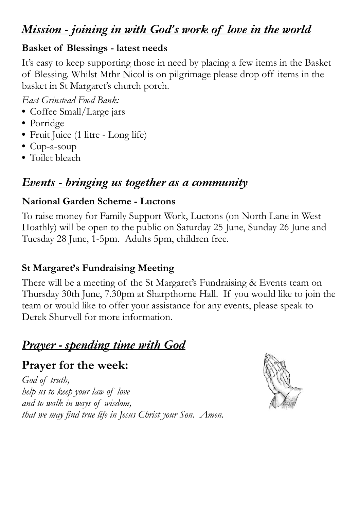## *Mission - joining in with God's work of love in the world*

#### **Basket of Blessings - latest needs**

It's easy to keep supporting those in need by placing a few items in the Basket of Blessing. Whilst Mthr Nicol is on pilgrimage please drop off items in the basket in St Margaret's church porch.

*East Grinstead Food Bank:* 

- **•** Coffee Small/Large jars
- **•** Porridge
- **•** Fruit Juice (1 litre Long life)
- **•** Cup-a-soup
- **•** Toilet bleach

## *Events - bringing us together as a community*

#### **National Garden Scheme - Luctons**

To raise money for Family Support Work, Luctons (on North Lane in West Hoathly) will be open to the public on Saturday 25 June, Sunday 26 June and Tuesday 28 June, 1-5pm. Adults 5pm, children free.

### **St Margaret's Fundraising Meeting**

There will be a meeting of the St Margaret's Fundraising & Events team on Thursday 30th June, 7.30pm at Sharpthorne Hall. If you would like to join the team or would like to offer your assistance for any events, please speak to Derek Shurvell for more information.

## *Prayer - spending time with God*

## **Prayer for the week:**

*God of truth, help us to keep your law of love and to walk in ways of wisdom, that we may find true life in Jesus Christ your Son. Amen.*